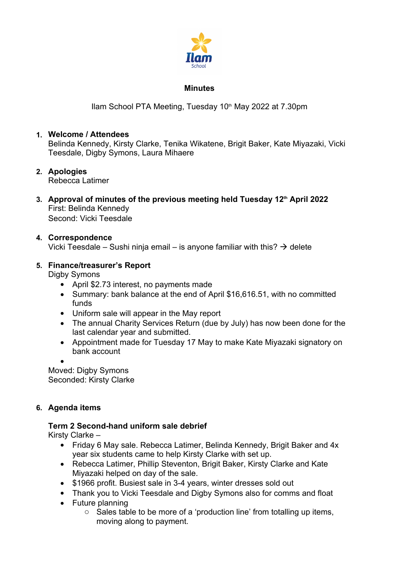

#### **Minutes**

Ilam School PTA Meeting, Tuesday 10<sup>th</sup> May 2022 at 7.30pm

## **1. Welcome / Attendees**

Belinda Kennedy, Kirsty Clarke, Tenika Wikatene, Brigit Baker, Kate Miyazaki, Vicki Teesdale, Digby Symons, Laura Mihaere

# **2. Apologies**

Rebecca Latimer

**3. Approval of minutes of the previous meeting held Tuesday 12th April 2022** First: Belinda Kennedy Second: Vicki Teesdale

## **4. Correspondence**

Vicki Teesdale – Sushi ninja email – is anyone familiar with this?  $\rightarrow$  delete

## **5. Finance/treasurer's Report**

Digby Symons

- April \$2.73 interest, no payments made
- Summary: bank balance at the end of April \$16,616.51, with no committed funds
- Uniform sale will appear in the May report
- The annual Charity Services Return (due by July) has now been done for the last calendar year and submitted.
- Appointment made for Tuesday 17 May to make Kate Miyazaki signatory on bank account

 $\bullet$  and  $\bullet$  and  $\bullet$  and  $\bullet$  and  $\bullet$ 

Moved: Digby Symons Seconded: Kirsty Clarke

## **6. Agenda items**

## **Term 2 Second-hand uniform sale debrief**

Kirsty Clarke –

- Friday 6 May sale. Rebecca Latimer, Belinda Kennedy, Brigit Baker and 4x year six students came to help Kirsty Clarke with set up.
- Rebecca Latimer, Phillip Steventon, Brigit Baker, Kirsty Clarke and Kate Miyazaki helped on day of the sale.
- \$1966 profit. Busiest sale in 3-4 years, winter dresses sold out
- Thank you to Vicki Teesdale and Digby Symons also for comms and float
- Future planning
	- o Sales table to be more of a 'production line' from totalling up items, moving along to payment.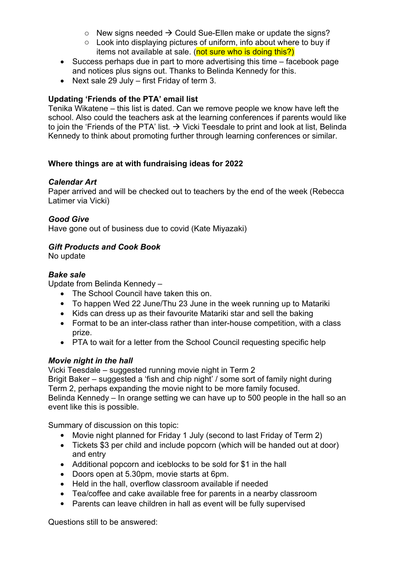- $\circ$  New signs needed  $\rightarrow$  Could Sue-Ellen make or update the signs?
- o Look into displaying pictures of uniform, info about where to buy if items not available at sale. (not sure who is doing this?)
- Success perhaps due in part to more advertising this time facebook page and notices plus signs out. Thanks to Belinda Kennedy for this.
- Next sale 29 July first Friday of term 3.

# **Updating 'Friends of the PTA' email list**

Tenika Wikatene – this list is dated. Can we remove people we know have left the school. Also could the teachers ask at the learning conferences if parents would like to join the 'Friends of the PTA' list.  $\rightarrow$  Vicki Teesdale to print and look at list, Belinda Kennedy to think about promoting further through learning conferences or similar.

## **Where things are at with fundraising ideas for 2022**

# *Calendar Art*

Paper arrived and will be checked out to teachers by the end of the week (Rebecca Latimer via Vicki)

# *Good Give*

Have gone out of business due to covid (Kate Miyazaki)

## *Gift Products and Cook Book*

No update

# *Bake sale*

Update from Belinda Kennedy –

- The School Council have taken this on.
- To happen Wed 22 June/Thu 23 June in the week running up to Matariki
- Kids can dress up as their favourite Matariki star and sell the baking
- Format to be an inter-class rather than inter-house competition, with a class prize.
- PTA to wait for a letter from the School Council requesting specific help

## *Movie night in the hall*

Vicki Teesdale – suggested running movie night in Term 2 Brigit Baker – suggested a 'fish and chip night' / some sort of family night during Term 2, perhaps expanding the movie night to be more family focused. Belinda Kennedy – In orange setting we can have up to 500 people in the hall so an event like this is possible.

Summary of discussion on this topic:

- Movie night planned for Friday 1 July (second to last Friday of Term 2)
- Tickets \$3 per child and include popcorn (which will be handed out at door) and entry
- Additional popcorn and iceblocks to be sold for \$1 in the hall
- Doors open at 5.30pm, movie starts at 6pm.
- Held in the hall, overflow classroom available if needed
- Tea/coffee and cake available free for parents in a nearby classroom
- Parents can leave children in hall as event will be fully supervised

Questions still to be answered: